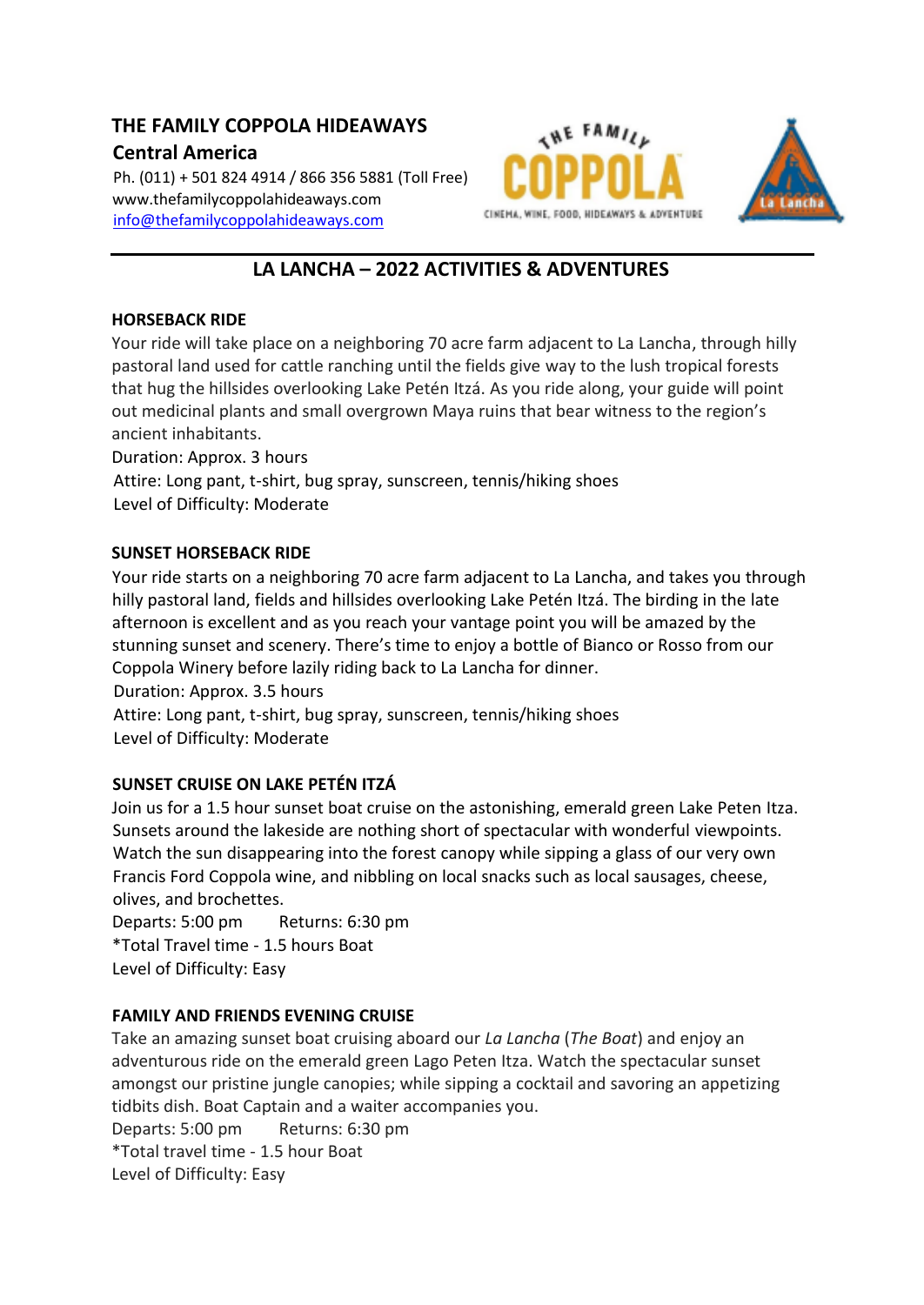# **THE FAMILY COPPOLA HIDEAWAYS**

# **Central America**

Ph. (011) + 501 824 4914 / 866 356 5881 (Toll Free) www.thefamilycoppolahideaways.com [info@thefamilycoppolahideaways.com](mailto:info@thefamilycoppolahideaways.com)





# **LA LANCHA – 2022 ACTIVITIES & ADVENTURES**

#### **HORSEBACK RIDE**

Your ride will take place on a neighboring 70 acre farm adjacent to La Lancha, through hilly pastoral land used for cattle ranching until the fields give way to the lush tropical forests that hug the hillsides overlooking Lake Petén Itzá. As you ride along, your guide will point out medicinal plants and small overgrown Maya ruins that bear witness to the region's ancient inhabitants.

Duration: Approx. 3 hours

Attire: Long pant, t-shirt, bug spray, sunscreen, tennis/hiking shoes Level of Difficulty: Moderate

#### **SUNSET HORSEBACK RIDE**

Your ride starts on a neighboring 70 acre farm adjacent to La Lancha, and takes you through hilly pastoral land, fields and hillsides overlooking Lake Petén Itzá. The birding in the late afternoon is excellent and as you reach your vantage point you will be amazed by the stunning sunset and scenery. There's time to enjoy a bottle of Bianco or Rosso from our Coppola Winery before lazily riding back to La Lancha for dinner.

Duration: Approx. 3.5 hours Attire: Long pant, t-shirt, bug spray, sunscreen, tennis/hiking shoes Level of Difficulty: Moderate

## **SUNSET CRUISE ON LAKE PETÉN ITZÁ**

Join us for a 1.5 hour sunset boat cruise on the astonishing, emerald green Lake Peten Itza. Sunsets around the lakeside are nothing short of spectacular with wonderful viewpoints. Watch the sun disappearing into the forest canopy while sipping a glass of our very own Francis Ford Coppola wine, and nibbling on local snacks such as local sausages, cheese, olives, and brochettes.

Departs: 5:00 pm Returns: 6:30 pm \*Total Travel time - 1.5 hours Boat Level of Difficulty: Easy

## **FAMILY AND FRIENDS EVENING CRUISE**

Take an amazing sunset boat cruising aboard our *La Lancha* (*The Boat*) and enjoy an adventurous ride on the emerald green Lago Peten Itza. Watch the spectacular sunset amongst our pristine jungle canopies; while sipping a cocktail and savoring an appetizing tidbits dish. Boat Captain and a waiter accompanies you.

Departs: 5:00 pm Returns: 6:30 pm \*Total travel time - 1.5 hour Boat Level of Difficulty: Easy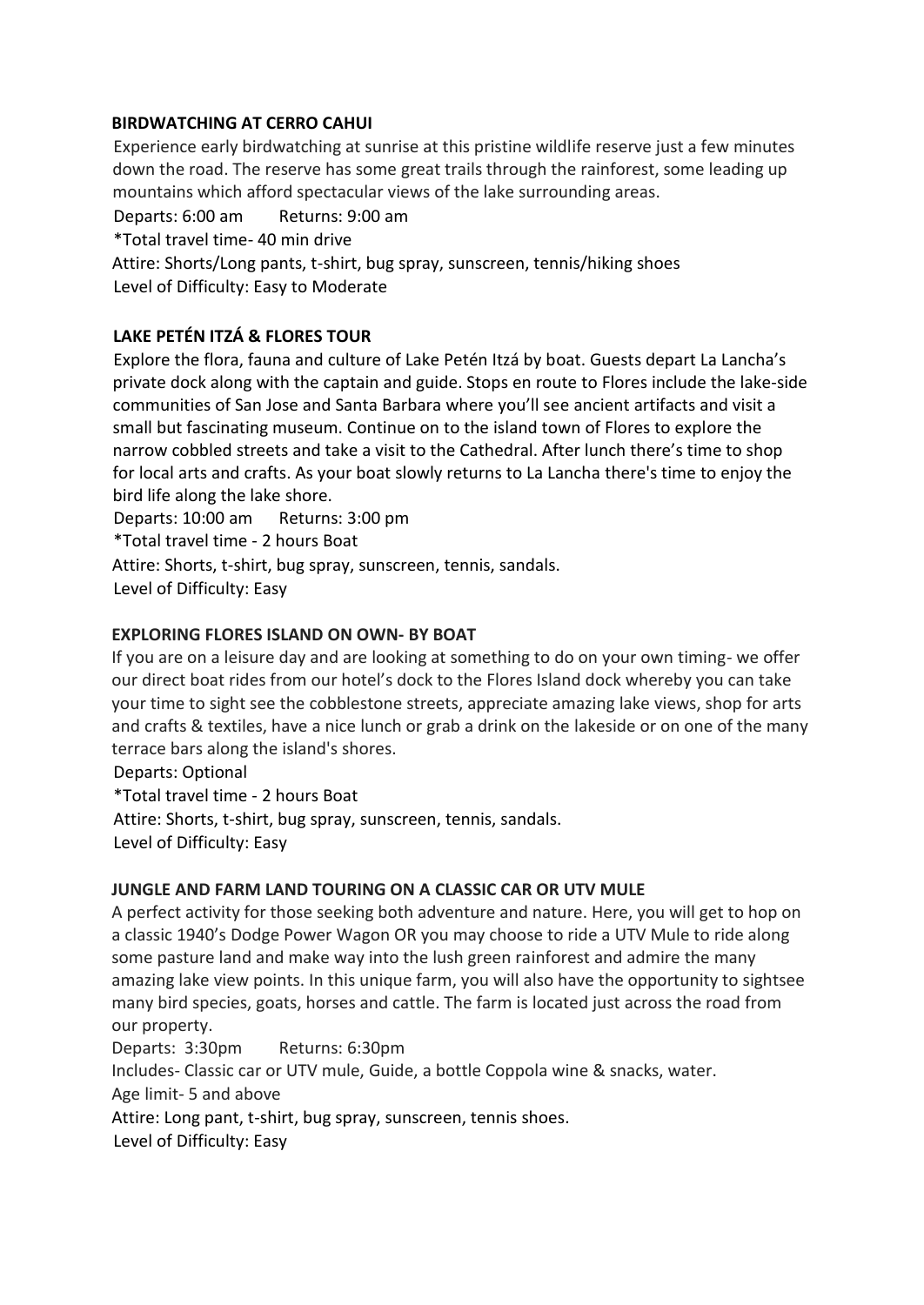#### **BIRDWATCHING AT CERRO CAHUI**

Experience early birdwatching at sunrise at this pristine wildlife reserve just a few minutes down the road. The reserve has some great trails through the rainforest, some leading up mountains which afford spectacular views of the lake surrounding areas.

Departs: 6:00 am Returns: 9:00 am

\*Total travel time- 40 min drive

Attire: Shorts/Long pants, t-shirt, bug spray, sunscreen, tennis/hiking shoes Level of Difficulty: Easy to Moderate

## **LAKE PETÉN ITZÁ & FLORES TOUR**

Explore the flora, fauna and culture of Lake Petén Itzá by boat. Guests depart La Lancha's private dock along with the captain and guide. Stops en route to Flores include the lake-side communities of San Jose and Santa Barbara where you'll see ancient artifacts and visit a small but fascinating museum. Continue on to the island town of Flores to explore the narrow cobbled streets and take a visit to the Cathedral. After lunch there's time to shop for local arts and crafts. As your boat slowly returns to La Lancha there's time to enjoy the bird life along the lake shore.

Departs: 10:00 am Returns: 3:00 pm

\*Total travel time - 2 hours Boat

Attire: Shorts, t-shirt, bug spray, sunscreen, tennis, sandals.

Level of Difficulty: Easy

#### **EXPLORING FLORES ISLAND ON OWN- BY BOAT**

If you are on a leisure day and are looking at something to do on your own timing- we offer our direct boat rides from our hotel's dock to the Flores Island dock whereby you can take your time to sight see the cobblestone streets, appreciate amazing lake views, shop for arts and crafts & textiles, have a nice lunch or grab a drink on the lakeside or on one of the many terrace bars along the island's shores.

Departs: Optional \*Total travel time - 2 hours Boat Attire: Shorts, t-shirt, bug spray, sunscreen, tennis, sandals. Level of Difficulty: Easy

#### **JUNGLE AND FARM LAND TOURING ON A CLASSIC CAR OR UTV MULE**

A perfect activity for those seeking both adventure and nature. Here, you will get to hop on a classic 1940's Dodge Power Wagon OR you may choose to ride a UTV Mule to ride along some pasture land and make way into the lush green rainforest and admire the many amazing lake view points. In this unique farm, you will also have the opportunity to sightsee many bird species, goats, horses and cattle. The farm is located just across the road from our property.

Departs: 3:30pm Returns: 6:30pm

Includes- Classic car or UTV mule, Guide, a bottle Coppola wine & snacks, water.

Age limit- 5 and above

Attire: Long pant, t-shirt, bug spray, sunscreen, tennis shoes.

Level of Difficulty: Easy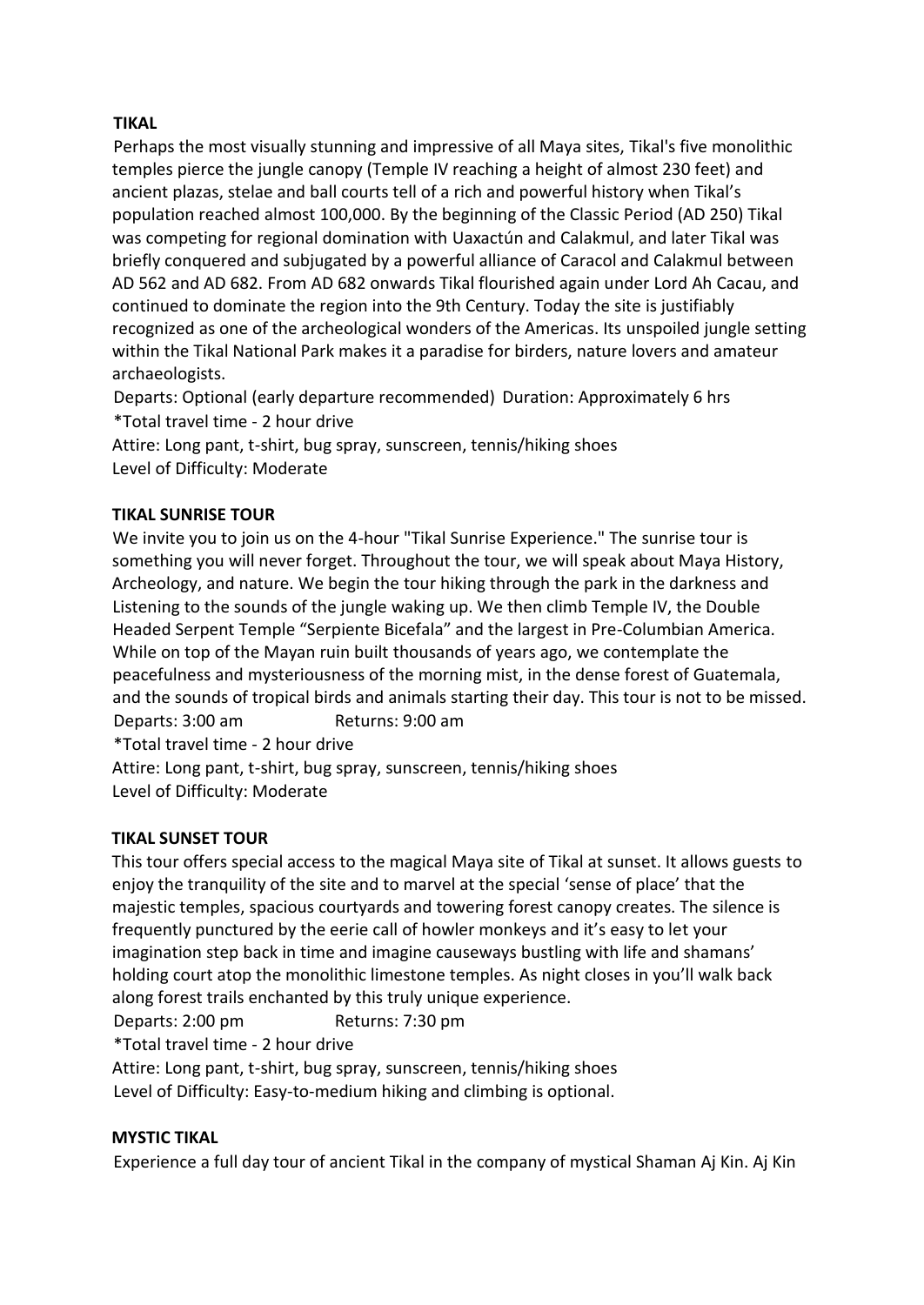## **TIKAL**

Perhaps the most visually stunning and impressive of all Maya sites, Tikal's five monolithic temples pierce the jungle canopy (Temple IV reaching a height of almost 230 feet) and ancient plazas, stelae and ball courts tell of a rich and powerful history when Tikal's population reached almost 100,000. By the beginning of the Classic Period (AD 250) Tikal was competing for regional domination with Uaxactún and Calakmul, and later Tikal was briefly conquered and subjugated by a powerful alliance of Caracol and Calakmul between AD 562 and AD 682. From AD 682 onwards Tikal flourished again under Lord Ah Cacau, and continued to dominate the region into the 9th Century. Today the site is justifiably recognized as one of the archeological wonders of the Americas. Its unspoiled jungle setting within the Tikal National Park makes it a paradise for birders, nature lovers and amateur archaeologists.

Departs: Optional (early departure recommended) Duration: Approximately 6 hrs \*Total travel time - 2 hour drive

Attire: Long pant, t-shirt, bug spray, sunscreen, tennis/hiking shoes Level of Difficulty: Moderate

## **TIKAL SUNRISE TOUR**

We invite you to join us on the 4-hour "Tikal Sunrise Experience." The sunrise tour is something you will never forget. Throughout the tour, we will speak about Maya History, Archeology, and nature. We begin the tour hiking through the park in the darkness and Listening to the sounds of the jungle waking up. We then climb Temple IV, the Double Headed Serpent Temple "Serpiente Bicefala" and the largest in Pre-Columbian America. While on top of the Mayan ruin built thousands of years ago, we contemplate the peacefulness and mysteriousness of the morning mist, in the dense forest of Guatemala, and the sounds of tropical birds and animals starting their day. This tour is not to be missed. Departs: 3:00 am Returns: 9:00 am

\*Total travel time - 2 hour drive

Attire: Long pant, t-shirt, bug spray, sunscreen, tennis/hiking shoes Level of Difficulty: Moderate

## **TIKAL SUNSET TOUR**

This tour offers special access to the magical Maya site of Tikal at sunset. It allows guests to enjoy the tranquility of the site and to marvel at the special 'sense of place' that the majestic temples, spacious courtyards and towering forest canopy creates. The silence is frequently punctured by the eerie call of howler monkeys and it's easy to let your imagination step back in time and imagine causeways bustling with life and shamans' holding court atop the monolithic limestone temples. As night closes in you'll walk back along forest trails enchanted by this truly unique experience.

Departs: 2:00 pm Returns: 7:30 pm

\*Total travel time - 2 hour drive

Attire: Long pant, t-shirt, bug spray, sunscreen, tennis/hiking shoes

Level of Difficulty: Easy-to-medium hiking and climbing is optional.

#### **MYSTIC TIKAL**

Experience a full day tour of ancient Tikal in the company of mystical Shaman Aj Kin. Aj Kin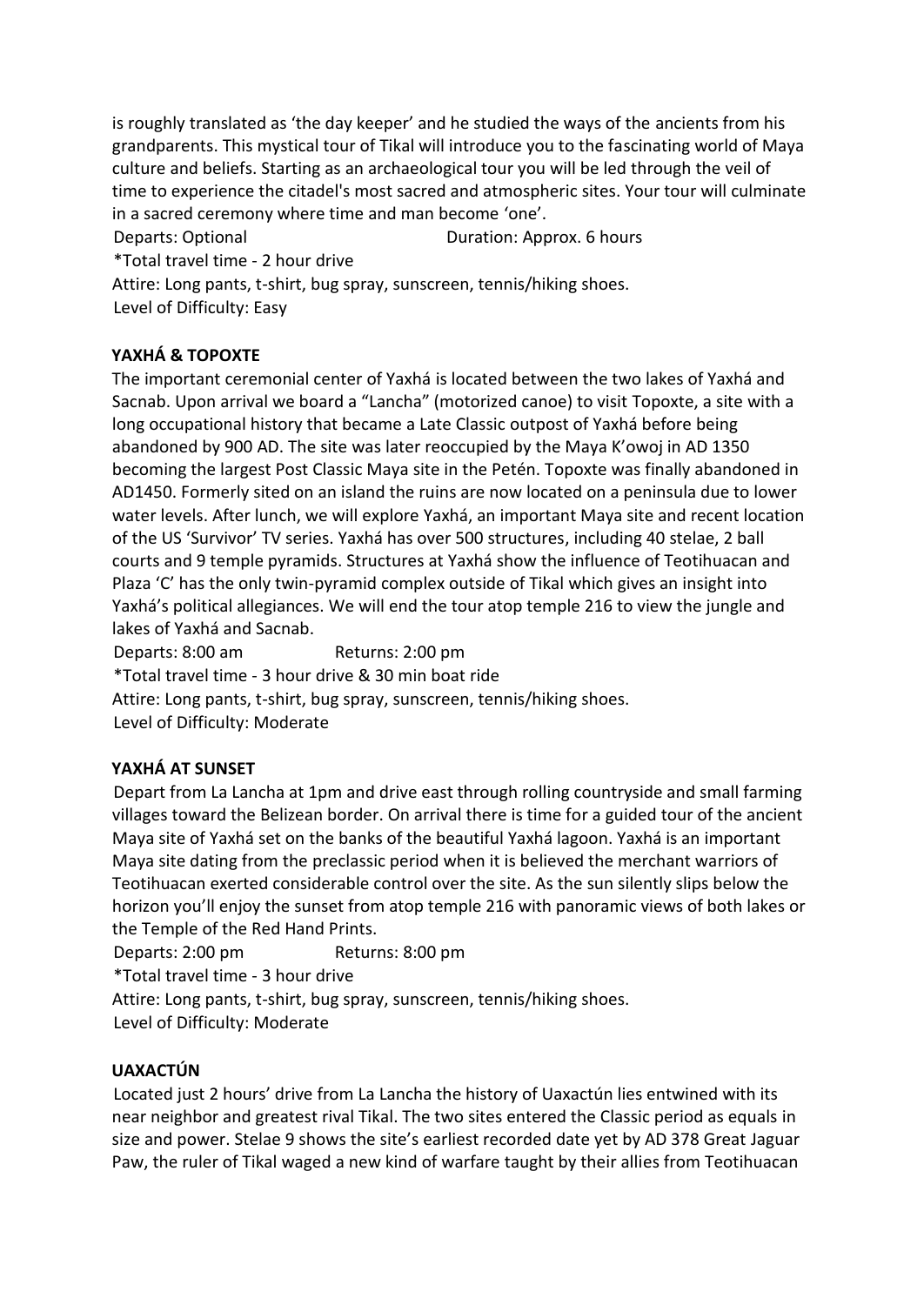is roughly translated as 'the day keeper' and he studied the ways of the ancients from his grandparents. This mystical tour of Tikal will introduce you to the fascinating world of Maya culture and beliefs. Starting as an archaeological tour you will be led through the veil of time to experience the citadel's most sacred and atmospheric sites. Your tour will culminate in a sacred ceremony where time and man become 'one'.

Departs: Optional Departs: Optional Duration: Approx. 6 hours

\*Total travel time - 2 hour drive

Attire: Long pants, t-shirt, bug spray, sunscreen, tennis/hiking shoes. Level of Difficulty: Easy

# **YAXHÁ & TOPOXTE**

The important ceremonial center of Yaxhá is located between the two lakes of Yaxhá and Sacnab. Upon arrival we board a "Lancha" (motorized canoe) to visit Topoxte, a site with a long occupational history that became a Late Classic outpost of Yaxhá before being abandoned by 900 AD. The site was later reoccupied by the Maya K'owoj in AD 1350 becoming the largest Post Classic Maya site in the Petén. Topoxte was finally abandoned in AD1450. Formerly sited on an island the ruins are now located on a peninsula due to lower water levels. After lunch, we will explore Yaxhá, an important Maya site and recent location of the US 'Survivor' TV series. Yaxhá has over 500 structures, including 40 stelae, 2 ball courts and 9 temple pyramids. Structures at Yaxhá show the influence of Teotihuacan and Plaza 'C' has the only twin-pyramid complex outside of Tikal which gives an insight into Yaxhá's political allegiances. We will end the tour atop temple 216 to view the jungle and lakes of Yaxhá and Sacnab.

Departs: 8:00 am Returns: 2:00 pm \*Total travel time - 3 hour drive & 30 min boat ride Attire: Long pants, t-shirt, bug spray, sunscreen, tennis/hiking shoes. Level of Difficulty: Moderate

# **YAXHÁ AT SUNSET**

Depart from La Lancha at 1pm and drive east through rolling countryside and small farming villages toward the Belizean border. On arrival there is time for a guided tour of the ancient Maya site of Yaxhá set on the banks of the beautiful Yaxhá lagoon. Yaxhá is an important Maya site dating from the preclassic period when it is believed the merchant warriors of Teotihuacan exerted considerable control over the site. As the sun silently slips below the horizon you'll enjoy the sunset from atop temple 216 with panoramic views of both lakes or the Temple of the Red Hand Prints.

Departs: 2:00 pm Returns: 8:00 pm

\*Total travel time - 3 hour drive

Attire: Long pants, t-shirt, bug spray, sunscreen, tennis/hiking shoes.

Level of Difficulty: Moderate

## **UAXACTÚN**

Located just 2 hours' drive from La Lancha the history of Uaxactún lies entwined with its near neighbor and greatest rival Tikal. The two sites entered the Classic period as equals in size and power. Stelae 9 shows the site's earliest recorded date yet by AD 378 Great Jaguar Paw, the ruler of Tikal waged a new kind of warfare taught by their allies from Teotihuacan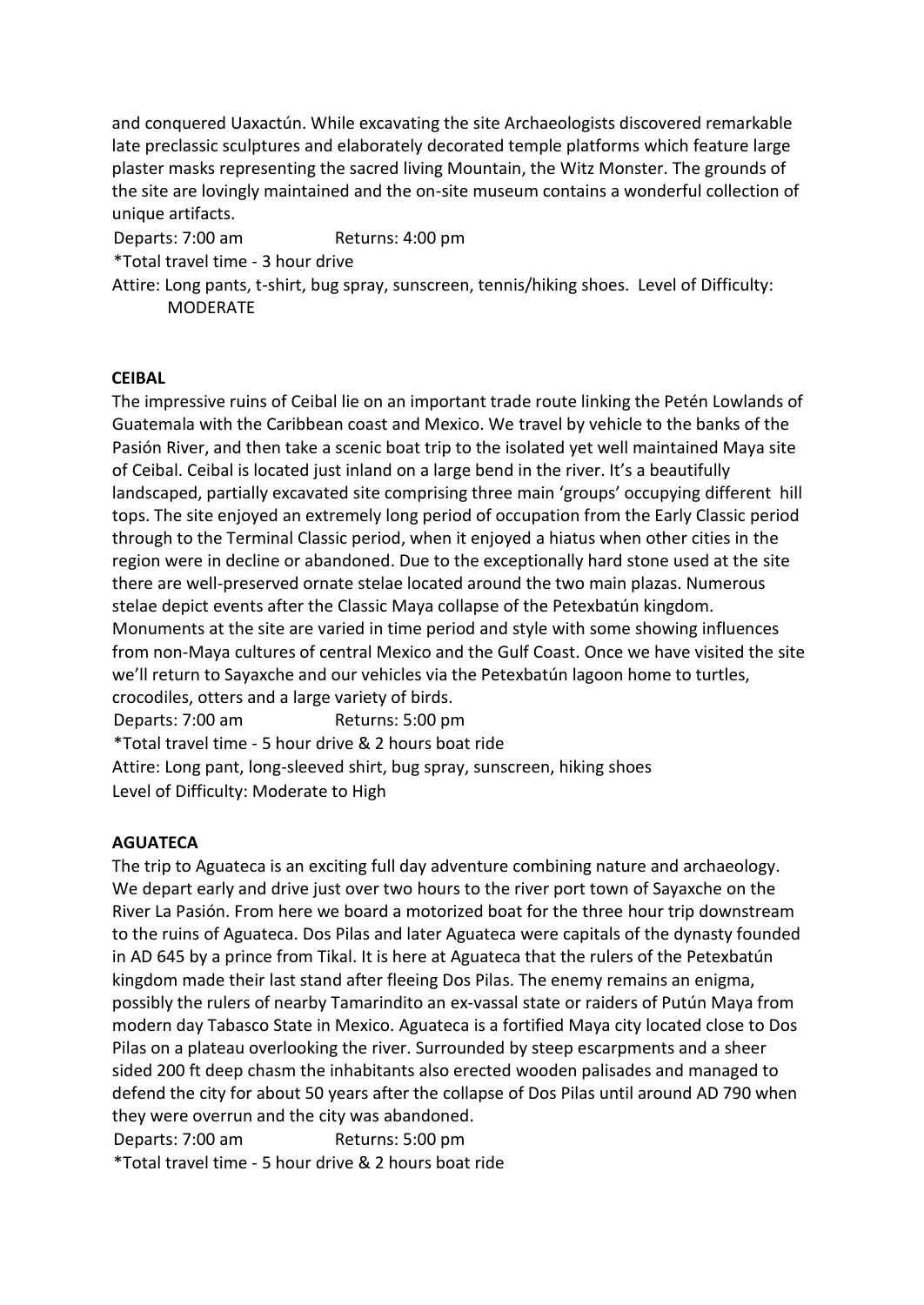and conquered Uaxactún. While excavating the site Archaeologists discovered remarkable late preclassic sculptures and elaborately decorated temple platforms which feature large plaster masks representing the sacred living Mountain, the Witz Monster. The grounds of the site are lovingly maintained and the on-site museum contains a wonderful collection of unique artifacts.

Departs: 7:00 am Returns: 4:00 pm

\*Total travel time - 3 hour drive

Attire: Long pants, t-shirt, bug spray, sunscreen, tennis/hiking shoes. Level of Difficulty: MODERATE

#### **CEIBAL**

The impressive ruins of Ceibal lie on an important trade route linking the Petén Lowlands of Guatemala with the Caribbean coast and Mexico. We travel by vehicle to the banks of the Pasión River, and then take a scenic boat trip to the isolated yet well maintained Maya site of Ceibal. Ceibal is located just inland on a large bend in the river. It's a beautifully landscaped, partially excavated site comprising three main 'groups' occupying different hill tops. The site enjoyed an extremely long period of occupation from the Early Classic period through to the Terminal Classic period, when it enjoyed a hiatus when other cities in the region were in decline or abandoned. Due to the exceptionally hard stone used at the site there are well-preserved ornate stelae located around the two main plazas. Numerous stelae depict events after the Classic Maya collapse of the Petexbatún kingdom. Monuments at the site are varied in time period and style with some showing influences from non-Maya cultures of central Mexico and the Gulf Coast. Once we have visited the site we'll return to Sayaxche and our vehicles via the Petexbatún lagoon home to turtles, crocodiles, otters and a large variety of birds. Departs: 7:00 am Returns: 5:00 pm \*Total travel time - 5 hour drive & 2 hours boat ride Attire: Long pant, long-sleeved shirt, bug spray, sunscreen, hiking shoes

Level of Difficulty: Moderate to High

## **AGUATECA**

The trip to Aguateca is an exciting full day adventure combining nature and archaeology. We depart early and drive just over two hours to the river port town of Sayaxche on the River La Pasión. From here we board a motorized boat for the three hour trip downstream to the ruins of Aguateca. Dos Pilas and later Aguateca were capitals of the dynasty founded in AD 645 by a prince from Tikal. It is here at Aguateca that the rulers of the Petexbatún kingdom made their last stand after fleeing Dos Pilas. The enemy remains an enigma, possibly the rulers of nearby Tamarindito an ex-vassal state or raiders of Putún Maya from modern day Tabasco State in Mexico. Aguateca is a fortified Maya city located close to Dos Pilas on a plateau overlooking the river. Surrounded by steep escarpments and a sheer sided 200 ft deep chasm the inhabitants also erected wooden palisades and managed to defend the city for about 50 years after the collapse of Dos Pilas until around AD 790 when they were overrun and the city was abandoned.

Departs: 7:00 am Returns: 5:00 pm

\*Total travel time - 5 hour drive & 2 hours boat ride